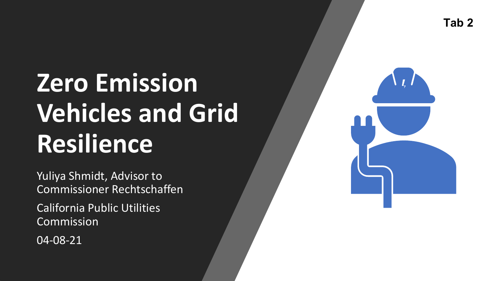# **Zero Emission Vehicles and Grid Resilience**

Yuliya Shmidt, Advisor to Commissioner Rechtschaffen

California Public Utilities Commission

04-08-21

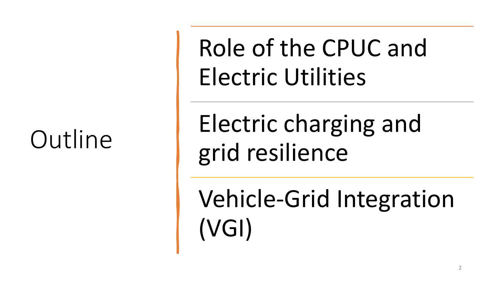Role of the CPUC and Electric Utilities

Outline | Electric charging and grid resilience

> Vehicle-Grid Integration (VGI)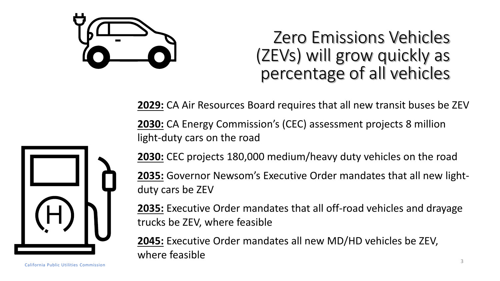

#### Zero Emissions Vehicles (ZEVs) will grow quickly as percentage of all vehicles

**2029:** CA Air Resources Board requires that all new transit buses be ZEV

 **2030:** CA Energy Commission's (CEC) assessment projects 8 million light-duty cars on the road



 **2035:** Governor Newsom's Executive Order mandates that all new lightduty cars be ZEV

 **2035:** Executive Order mandates that all off-road vehicles and drayage trucks be ZEV, where feasible

 **2045:** Executive Order mandates all new MD/HD vehicles be ZEV, where feasible

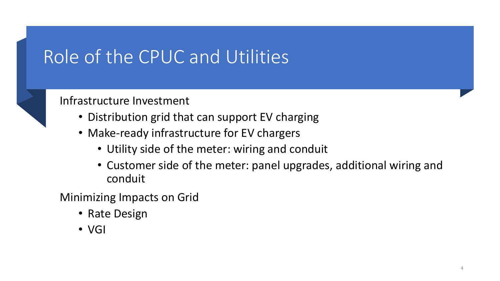#### Role of the CPUC and Utilities

#### Infrastructure Investment

- Distribution grid that can support EV charging
- • Make-ready infrastructure for EV chargers
	- Utility side of the meter: wiring and conduit
	- • Customer side of the meter: panel upgrades, additional wiring and conduit

Minimizing Impacts on Grid

- Rate Design
- VGI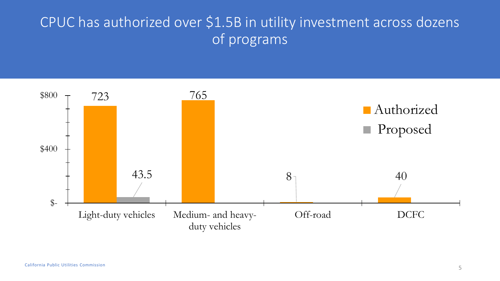#### CPUC has authorized over \$1.5B in utility investment across dozens of programs

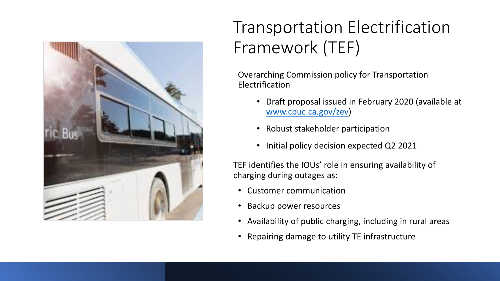

#### Transportation Electrification Framework (TEF)

Overarching Commission policy for Transportation Electrification

- • Draft proposal issued in February 2020 (available at [www.cpuc.ca.gov/zev](http://www.cpuc.ca.gov/zev))
- Robust stakeholder participation
- Initial policy decision expected Q2 2021

 TEF identifies the IOUs' role in ensuring availability of charging during outages as:

- Customer communication
- Backup power resources
- Availability of public charging, including in rural areas
- Repairing damage to utility TE infrastructure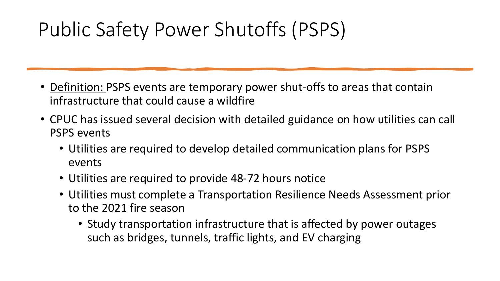## Public Safety Power Shutoffs (PSPS)

- Definition: PSPS events are temporary power shut-offs to areas that contain infrastructure that could cause a wildfire
- CPUC has issued several decision with detailed guidance on how utilities can call PSPS events
	- • Utilities are required to develop detailed communication plans for PSPS events
	- Utilities are required to provide 48-72 hours notice
	- • Utilities must complete a Transportation Resilience Needs Assessment prior to the 2021 fire season
		- • Study transportation infrastructure that is affected by power outages such as bridges, tunnels, traffic lights, and EV charging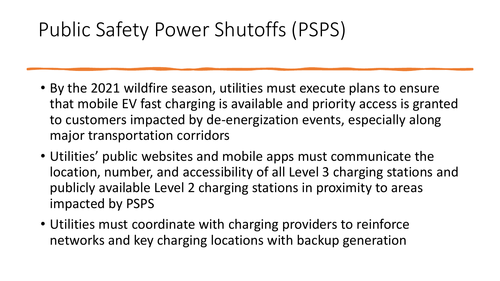## Public Safety Power Shutoffs (PSPS)

- • By the 2021 wildfire season, utilities must execute plans to ensure that mobile EV fast charging is available and priority access is granted to customers impacted by de-energization events, especially along major transportation corridors
- • Utilities' public websites and mobile apps must communicate the location, number, and accessibility of all Level 3 charging stations and publicly available Level 2 charging stations in proximity to areas impacted by PSPS
- • Utilities must coordinate with charging providers to reinforce networks and key charging locations with backup generation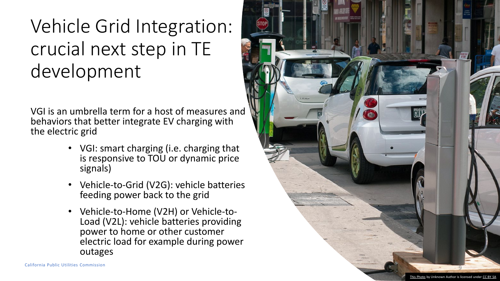## Vehicle Grid Integration: crucial next step in TE development

 VGI is an umbrella term for a host of measures and behaviors that better integrate EV charging with the electric grid

- • VGI: smart charging (i.e. charging that is responsive to TOU or dynamic price signals)
- Vehicle-to-Grid (V2G): vehicle batteries feeding power back to the grid
- Vehicle-to-Home (V2H) or Vehicle-to Load (V2L): vehicle batteries providing power to home or other customer electric load for example during power outages

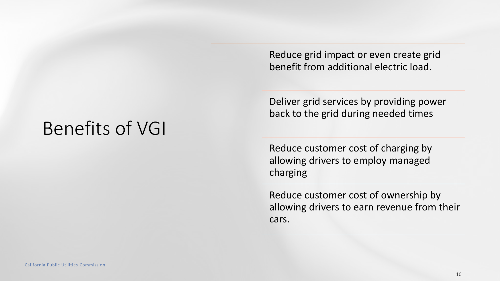Reduce grid impact or even create grid benefit from additional electric load.

 Deliver grid services by providing power back to the grid during needed times

 Reduce customer cost of charging by allowing drivers to employ managed charging

 Reduce customer cost of ownership by allowing drivers to earn revenue from their cars.

#### Benefits of VGI